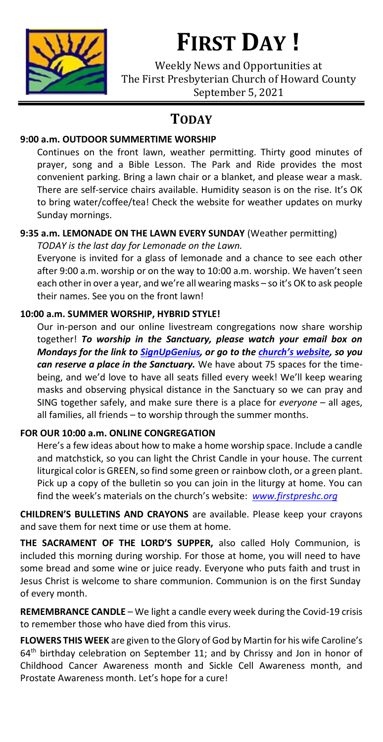

# **FIRST DAY !**

Weekly News and Opportunities at The First Presbyterian Church of Howard County September 5, 2021

# **TODAY**

### **9:00 a.m. OUTDOOR SUMMERTIME WORSHIP**

Continues on the front lawn, weather permitting. Thirty good minutes of prayer, song and a Bible Lesson. The Park and Ride provides the most convenient parking. Bring a lawn chair or a blanket, and please wear a mask. There are self-service chairs available. Humidity season is on the rise. It's OK to bring water/coffee/tea! Check the website for weather updates on murky Sunday mornings.

### **9:35 a.m. LEMONADE ON THE LAWN EVERY SUNDAY** (Weather permitting)

*TODAY is the last day for Lemonade on the Lawn.* Everyone is invited for a glass of lemonade and a chance to see each other

after 9:00 a.m. worship or on the way to 10:00 a.m. worship. We haven't seen each other in over a year, and we're all wearing masks – so it's OK to ask people their names. See you on the front lawn!

### **10:00 a.m. SUMMER WORSHIP, HYBRID STYLE!**

Our in-person and our online livestream congregations now share worship together! *To worship in the Sanctuary, please watch your email box on Mondays for the link to [SignUpGenius,](https://www.signupgenius.com/go/fpchcsignup) or go to the [church's website](http://www.firstpreshc.org/this-sunday/), so you can reserve a place in the Sanctuary.* We have about 75 spaces for the timebeing, and we'd love to have all seats filled every week! We'll keep wearing masks and observing physical distance in the Sanctuary so we can pray and SING together safely, and make sure there is a place for *everyone* – all ages, all families, all friends – to worship through the summer months.

### **FOR OUR 10:00 a.m. ONLINE CONGREGATION**

Here's a few ideas about how to make a home worship space. Include a candle and matchstick, so you can light the Christ Candle in your house. The current liturgical color is GREEN, so find some green or rainbow cloth, or a green plant. Pick up a copy of the bulletin so you can join in the liturgy at home. You can find the week's materials on the church's website: *[www.firstpreshc.org](http://www.firstpreshc.org/)*

**CHILDREN'S BULLETINS AND CRAYONS** are available. Please keep your crayons and save them for next time or use them at home.

**THE SACRAMENT OF THE LORD'S SUPPER,** also called Holy Communion, is included this morning during worship. For those at home, you will need to have some bread and some wine or juice ready. Everyone who puts faith and trust in Jesus Christ is welcome to share communion. Communion is on the first Sunday of every month.

**REMEMBRANCE CANDLE** – We light a candle every week during the Covid-19 crisis to remember those who have died from this virus.

**FLOWERS THIS WEEK** are given to the Glory of God by Martin for his wife Caroline's  $64<sup>th</sup>$  birthday celebration on September 11; and by Chrissy and Jon in honor of Childhood Cancer Awareness month and Sickle Cell Awareness month, and Prostate Awareness month. Let's hope for a cure!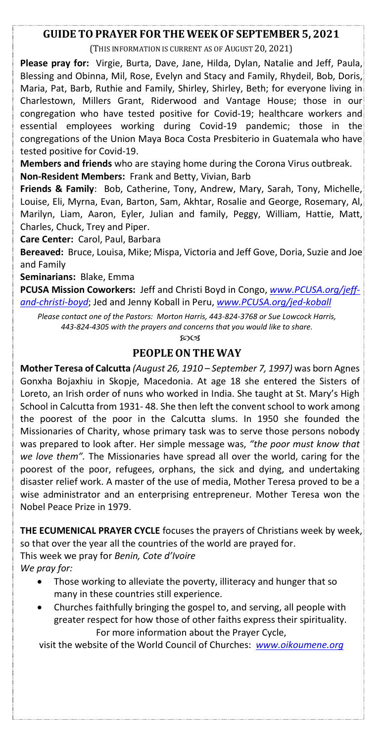#### **GUIDE TO PRAYER FOR THE WEEKOF SEPTEMBER 5, 2021**

(THIS INFORMATION IS CURRENT AS OF AUGUST 20, 2021)

**Please pray for:** Virgie, Burta, Dave, Jane, Hilda, Dylan, Natalie and Jeff, Paula, Blessing and Obinna, Mil, Rose, Evelyn and Stacy and Family, Rhydeil, Bob, Doris, Maria, Pat, Barb, Ruthie and Family, Shirley, Shirley, Beth; for everyone living in Charlestown, Millers Grant, Riderwood and Vantage House; those in our congregation who have tested positive for Covid-19; healthcare workers and essential employees working during Covid-19 pandemic; those in the congregations of the Union Maya Boca Costa Presbiterio in Guatemala who have tested positive for Covid-19.

**Members and friends** who are staying home during the Corona Virus outbreak. **Non-Resident Members:** Frank and Betty, Vivian, Barb

**Friends & Family**: Bob, Catherine, Tony, Andrew, Mary, Sarah, Tony, Michelle, Louise, Eli, Myrna, Evan, Barton, Sam, Akhtar, Rosalie and George, Rosemary, Al, Marilyn, Liam, Aaron, Eyler, Julian and family, Peggy, William, Hattie, Matt, Charles, Chuck, Trey and Piper.

**Care Center:** Carol, Paul, Barbara

**Bereaved:** Bruce, Louisa, Mike; Mispa, Victoria and Jeff Gove, Doria, Suzie and Joe and Family

**Seminarians:** Blake, Emma

**PCUSA Mission Coworkers:** Jeff and Christi Boyd in Congo, *[www.PCUSA.org/jeff](http://www.pcusa.org/jeff-and-christi-boyd)[and-christi-boyd](http://www.pcusa.org/jeff-and-christi-boyd)*; Jed and Jenny Koball in Peru, *[www.PCUSA.org/jed-koball](http://www.pcusa.org/jed-koball)*

*Please contact one of the Pastors: Morton Harris, 443-824-3768 or Sue Lowcock Harris, 443-824-4305 with the prayers and concerns that you would like to share.*

8003

#### **PEOPLEON THE WAY**

**Mother Teresa of Calcutta** *(August 26, 1910 – September 7, 1997)* was born Agnes Gonxha Bojaxhiu in Skopje, Macedonia. At age 18 she entered the Sisters of Loreto, an Irish order of nuns who worked in India. She taught at St. Mary's High School in Calcutta from 1931- 48. She then left the convent school to work among the poorest of the poor in the Calcutta slums. In 1950 she founded the Missionaries of Charity, whose primary task was to serve those persons nobody was prepared to look after. Her simple message was, *"the poor must know that we love them".* The Missionaries have spread all over the world, caring for the poorest of the poor, refugees, orphans, the sick and dying, and undertaking disaster relief work. A master of the use of media, Mother Teresa proved to be a wise administrator and an enterprising entrepreneur. Mother Teresa won the Nobel Peace Prize in 1979.

**THE ECUMENICAL PRAYER CYCLE** focuses the prayers of Christians week by week, so that over the year all the countries of the world are prayed for.

This week we pray for *Benin, Cote d'Ivoire*

*We pray for:*

- Those working to alleviate the poverty, illiteracy and hunger that so many in these countries still experience.
- Churches faithfully bringing the gospel to, and serving, all people with greater respect for how those of other faiths express their spirituality. For more information about the Prayer Cycle,

visit the website of the World Council of Churches: *[www.oikoumene.org](http://www.oikoumene.org/)*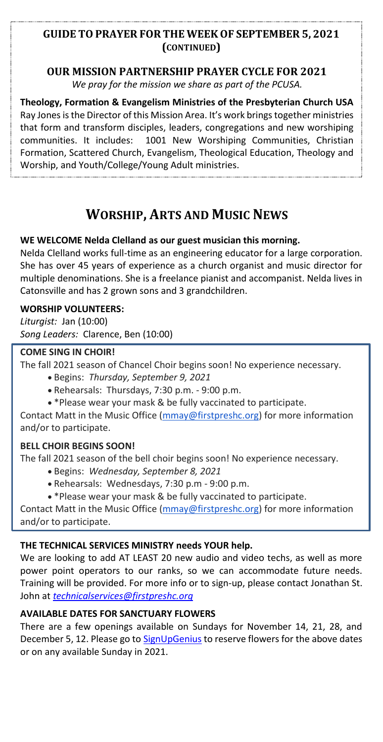### **GUIDE TO PRAYER FOR THE WEEKOF SEPTEMBER 5, 2021 (CONTINUED)**

### **OUR MISSION PARTNERSHIP PRAYER CYCLE FOR 2021**

*We pray for the mission we share as part of the PCUSA.*

**Theology, Formation & Evangelism Ministries of the Presbyterian Church USA** Ray Jones is the Director of this Mission Area. It's work brings together ministries that form and transform disciples, leaders, congregations and new worshiping communities. It includes: 1001 New Worshiping Communities, Christian Formation, Scattered Church, Evangelism, Theological Education, Theology and Worship, and Youth/College/Young Adult ministries.

# **WORSHIP, ARTS AND MUSIC NEWS**

#### **WE WELCOME Nelda Clelland as our guest musician this morning.**

Nelda Clelland works full-time as an engineering educator for a large corporation. She has over 45 years of experience as a church organist and music director for multiple denominations. She is a freelance pianist and accompanist. Nelda lives in Catonsville and has 2 grown sons and 3 grandchildren.

#### **WORSHIP VOLUNTEERS:**

*Liturgist:* Jan (10:00) *Song Leaders:* Clarence, Ben (10:00)

#### **COME SING IN CHOIR!**

The fall 2021 season of Chancel Choir begins soon! No experience necessary.

- Begins: *Thursday, September 9, 2021*
- Rehearsals: Thursdays, 7:30 p.m. 9:00 p.m.
- \*Please wear your mask & be fully vaccinated to participate.

Contact Matt in the Music Office [\(mmay@firstpreshc.org\)](mailto:mmay@firstpreshc.org) for more information and/or to participate.

#### **BELL CHOIR BEGINS SOON!**

The fall 2021 season of the bell choir begins soon! No experience necessary.

- Begins: *Wednesday, September 8, 2021*
- Rehearsals: Wednesdays, 7:30 p.m 9:00 p.m.
- \*Please wear your mask & be fully vaccinated to participate.

Contact Matt in the Music Office [\(mmay@firstpreshc.org\)](mailto:mmay@firstpreshc.org) for more information and/or to participate.

#### **THE TECHNICAL SERVICES MINISTRY needs YOUR help.**

We are looking to add AT LEAST 20 new audio and video techs, as well as more power point operators to our ranks, so we can accommodate future needs. Training will be provided. For more info or to sign-up, please contact Jonathan St. John at *[technicalservices@firstpreshc.org](mailto:technicalservices@firstpreshc.org)*

#### **AVAILABLE DATES FOR SANCTUARY FLOWERS**

There are a few openings available on Sundays for November 14, 21, 28, and December 5, 12. Please go to [SignUpGenius](https://www.signupgenius.com/go/5080e4dabab29abf58-flowers) to reserve flowers for the above dates or on any available Sunday in 2021.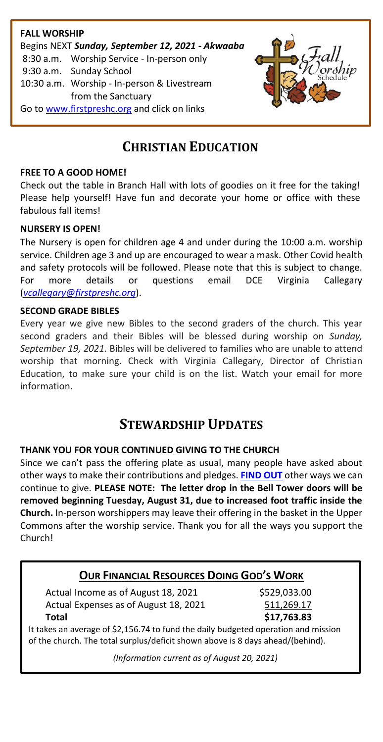

# **CHRISTIAN EDUCATION**

#### **FREE TO A GOOD HOME!**

Check out the table in Branch Hall with lots of goodies on it free for the taking! Please help yourself! Have fun and decorate your home or office with these fabulous fall items!

#### **NURSERY IS OPEN!**

The Nursery is open for children age 4 and under during the 10:00 a.m. worship service. Children age 3 and up are encouraged to wear a mask. Other Covid health and safety protocols will be followed. Please note that this is subject to change. For more details or questions email DCE Virginia Callegary (*[vcallegary@firstpreshc.org](file:///F:/Bulletin%20Inserts/2021%20First%20Day/08%20August%202021/08%2001%202021%20First%20Day/vcallegary@firstpreshc.org)*).

#### **SECOND GRADE BIBLES**

Every year we give new Bibles to the second graders of the church. This year second graders and their Bibles will be blessed during worship on *Sunday, September 19, 2021.* Bibles will be delivered to families who are unable to attend worship that morning. Check with Virginia Callegary, Director of Christian Education, to make sure your child is on the list. Watch your email for more information.

## **STEWARDSHIP UPDATES**

#### **THANK YOU FOR YOUR CONTINUED GIVING TO THE CHURCH**

Since we can't pass the offering plate as usual, many people have asked about other ways to make their contributions and pledges. **[FIND OUT](http://www.firstpreshc.org/giving/)** other ways we can continue to give. **PLEASE NOTE: The letter drop in the Bell Tower doors will be removed beginning Tuesday, August 31, due to increased foot traffic inside the Church.** In-person worshippers may leave their offering in the basket in the Upper Commons after the worship service. Thank you for all the ways you support the Church!

### **OUR FINANCIAL RESOURCES DOING GOD'S WORK**

Actual Income as of August 18, 2021 \$529,033.00 Actual Expenses as of August 18, 2021 511,269.17 **Total \$17,763.83**

It takes an average of \$2,156.74 to fund the daily budgeted operation and mission of the church. The total surplus/deficit shown above is 8 days ahead/(behind).

*(Information current as of August 20, 2021)*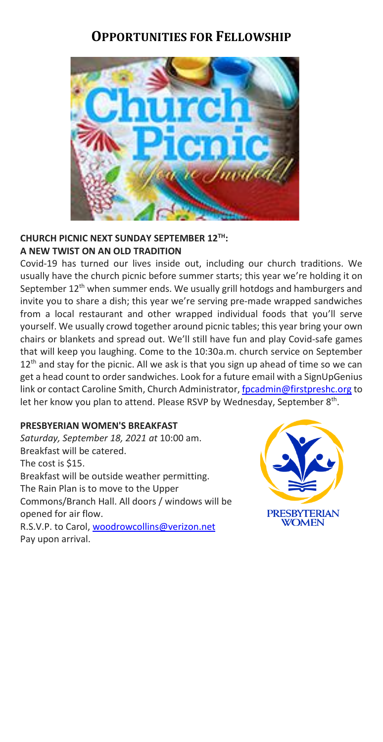# **OPPORTUNITIES FOR FELLOWSHIP**



#### **CHURCH PICNIC NEXT SUNDAY SEPTEMBER 12TH: A NEW TWIST ON AN OLD TRADITION**

Covid-19 has turned our lives inside out, including our church traditions. We usually have the church picnic before summer starts; this year we're holding it on September 12<sup>th</sup> when summer ends. We usually grill hotdogs and hamburgers and invite you to share a dish; this year we're serving pre-made wrapped sandwiches from a local restaurant and other wrapped individual foods that you'll serve yourself. We usually crowd together around picnic tables; this year bring your own chairs or blankets and spread out. We'll still have fun and play Covid-safe games that will keep you laughing. Come to the 10:30a.m. church service on September  $12<sup>th</sup>$  and stay for the picnic. All we ask is that you sign up ahead of time so we can get a head count to order sandwiches. Look for a future email with a SignUpGenius link or contact Caroline Smith, Church Administrator[, fpcadmin@firstpreshc.org](mailto:fpcadmin@firstpreshc.org) to let her know you plan to attend. Please RSVP by Wednesday, September 8<sup>th</sup>.

#### **PRESBYERIAN WOMEN'S BREAKFAST**

*Saturday, September 18, 2021 at* 10:00 am. Breakfast will be catered. The cost is \$15. Breakfast will be outside weather permitting. The Rain Plan is to move to the Upper Commons/Branch Hall. All doors / windows will be opened for air flow. R.S.V.P. to Carol[, woodrowcollins@verizon.net](mailto:woodrowcollins@verizon.net)

**PRESBYTERIAN WOMEN** 

Pay upon arrival.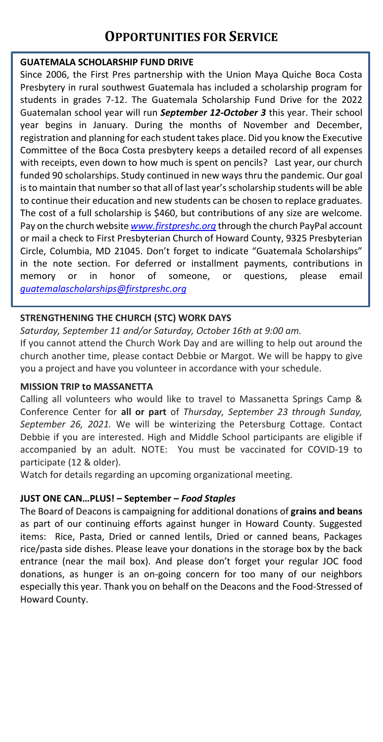# **OPPORTUNITIES FOR SERVICE**

#### **GUATEMALA SCHOLARSHIP FUND DRIVE**

Since 2006, the First Pres partnership with the Union Maya Quiche Boca Costa Presbytery in rural southwest Guatemala has included a scholarship program for students in grades 7-12. The Guatemala Scholarship Fund Drive for the 2022 Guatemalan school year will run *September 12-October 3* this year. Their school year begins in January. During the months of November and December, registration and planning for each student takes place. Did you know the Executive Committee of the Boca Costa presbytery keeps a detailed record of all expenses with receipts, even down to how much is spent on pencils? Last year, our church funded 90 scholarships. Study continued in new ways thru the pandemic. Our goal is to maintain that number so that all of last year's scholarship students will be able to continue their education and new students can be chosen to replace graduates. The cost of a full scholarship is \$460, but contributions of any size are welcome. Pay on the church website *[www.firstpreshc.org](http://www.firstpreshc.org/)* through the church PayPal account or mail a check to First Presbyterian Church of Howard County, 9325 Presbyterian Circle, Columbia, MD 21045. Don't forget to indicate "Guatemala Scholarships" in the note section. For deferred or installment payments, contributions in memory or in honor of someone, or questions, please email *[guatemalascholarships@firstpreshc.org](mailto:guatemalascholarships@firstpreshc.org)*

#### **STRENGTHENING THE CHURCH (STC) WORK DAYS**

*Saturday, September 11 and/or Saturday, October 16th at 9:00 am.* If you cannot attend the Church Work Day and are willing to help out around the church another time, please contact Debbie or Margot. We will be happy to give you a project and have you volunteer in accordance with your schedule.

#### **MISSION TRIP to MASSANETTA**

Calling all volunteers who would like to travel to Massanetta Springs Camp & Conference Center for **all or part** of *Thursday, September 23 through Sunday, September 26, 2021.* We will be winterizing the Petersburg Cottage. Contact Debbie if you are interested. High and Middle School participants are eligible if accompanied by an adult. NOTE: You must be vaccinated for COVID-19 to participate (12 & older).

Watch for details regarding an upcoming organizational meeting.

#### **JUST ONE CAN…PLUS! – September –** *Food Staples*

The Board of Deacons is campaigning for additional donations of **grains and beans** as part of our continuing efforts against hunger in Howard County. Suggested items: Rice, Pasta, Dried or canned lentils, Dried or canned beans, Packages rice/pasta side dishes. Please leave your donations in the storage box by the back entrance (near the mail box). And please don't forget your regular JOC food donations, as hunger is an on-going concern for too many of our neighbors especially this year. Thank you on behalf on the Deacons and the Food-Stressed of Howard County.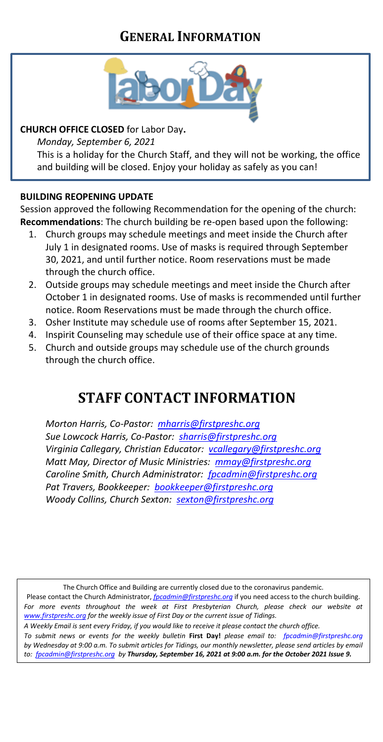# **GENERAL INFORMATION**



### **CHURCH OFFICE CLOSED** for Labor Day**.**

*Monday, September 6, 2021*

This is a holiday for the Church Staff, and they will not be working, the office and building will be closed. Enjoy your holiday as safely as you can!

#### **BUILDING REOPENING UPDATE**

Session approved the following Recommendation for the opening of the church: **Recommendations**: The church building be re-open based upon the following:

- 1. Church groups may schedule meetings and meet inside the Church after July 1 in designated rooms. Use of masks is required through September 30, 2021, and until further notice. Room reservations must be made through the church office.
- 2. Outside groups may schedule meetings and meet inside the Church after October 1 in designated rooms. Use of masks is recommended until further notice. Room Reservations must be made through the church office.
- 3. Osher Institute may schedule use of rooms after September 15, 2021.
- 4. Inspirit Counseling may schedule use of their office space at any time.
- 5. Church and outside groups may schedule use of the church grounds through the church office.

# **STAFF CONTACT INFORMATION**

*Morton Harris, Co-Pastor: [mharris@firstpreshc.org](mailto:mharris@firstpreshc.org) Sue Lowcock Harris, Co-Pastor: [sharris@firstpreshc.org](mailto:sharris@firstpreshc.org) Virginia Callegary, Christian Educator: [vcallegary@firstpreshc.org](mailto:vcallegary@firstpreshc.org) Matt May, Director of Music Ministries: [mmay@firstpreshc.org](mailto:mmay@firstpreshc.org) Caroline Smith, Church Administrator: [fpcadmin@firstpreshc.org](mailto:fpcadmin@firstpreshc.org) Pat Travers, Bookkeeper: [bookkeeper@firstpreshc.org](mailto:bookkeeper@firstpreshc.org) Woody Collins, Church Sexton: [sexton@firstpreshc.org](mailto:sexton@firstpreshc.org)*

The Church Office and Building are currently closed due to the coronavirus pandemic.

Please contact the Church Administrator, *[fpcadmin@firstpreshc.org](mailto:fpcadmin@firstpreshc.org)* if you need access to the church building. For more events throughout the week at First Presbyterian Church, please check our website at *[www.firstpreshc.org](http://www.firstpreshc.org/) for the weekly issue of First Day or the current issue of Tidings.*

*A Weekly Email is sent every Friday, if you would like to receive it please contact the church office.*

*To submit news or events for the weekly bulletin* **First Day!** *please email to: fpcadmin@firstpreshc.org*  by Wednesday at 9:00 a.m. To submit articles for Tidings, our monthly newsletter, please send articles by email *to: [fpcadmin@firstpreshc.org](mailto:fpcadmin@firstpreshc.org) by Thursday, September 16, 2021 at 9:00 a.m. for the October 2021 Issue 9.*